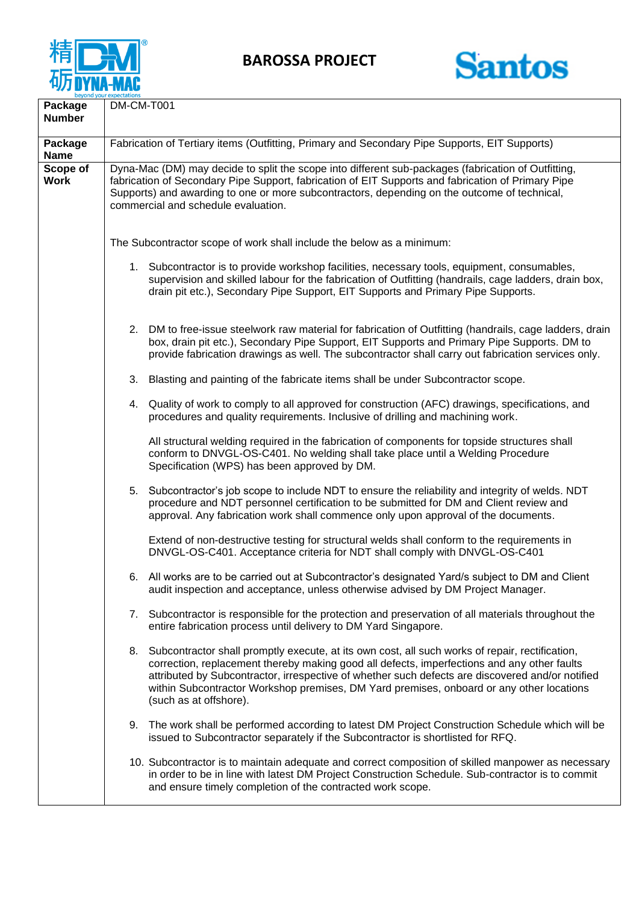

**BAROSSA PROJECT**



| Package<br><b>Number</b> | DM-CM-T001                                                                                                                                                                                                                                                                                                                                                                                                                  |
|--------------------------|-----------------------------------------------------------------------------------------------------------------------------------------------------------------------------------------------------------------------------------------------------------------------------------------------------------------------------------------------------------------------------------------------------------------------------|
|                          |                                                                                                                                                                                                                                                                                                                                                                                                                             |
| Package<br><b>Name</b>   | Fabrication of Tertiary items (Outfitting, Primary and Secondary Pipe Supports, EIT Supports)                                                                                                                                                                                                                                                                                                                               |
| Scope of<br><b>Work</b>  | Dyna-Mac (DM) may decide to split the scope into different sub-packages (fabrication of Outfitting,<br>fabrication of Secondary Pipe Support, fabrication of EIT Supports and fabrication of Primary Pipe<br>Supports) and awarding to one or more subcontractors, depending on the outcome of technical,<br>commercial and schedule evaluation.                                                                            |
|                          | The Subcontractor scope of work shall include the below as a minimum:                                                                                                                                                                                                                                                                                                                                                       |
|                          | 1. Subcontractor is to provide workshop facilities, necessary tools, equipment, consumables,<br>supervision and skilled labour for the fabrication of Outfitting (handrails, cage ladders, drain box,<br>drain pit etc.), Secondary Pipe Support, EIT Supports and Primary Pipe Supports.                                                                                                                                   |
|                          | DM to free-issue steelwork raw material for fabrication of Outfitting (handrails, cage ladders, drain<br>2.<br>box, drain pit etc.), Secondary Pipe Support, EIT Supports and Primary Pipe Supports. DM to<br>provide fabrication drawings as well. The subcontractor shall carry out fabrication services only.                                                                                                            |
|                          | Blasting and painting of the fabricate items shall be under Subcontractor scope.<br>3.                                                                                                                                                                                                                                                                                                                                      |
|                          | 4. Quality of work to comply to all approved for construction (AFC) drawings, specifications, and<br>procedures and quality requirements. Inclusive of drilling and machining work.                                                                                                                                                                                                                                         |
|                          | All structural welding required in the fabrication of components for topside structures shall<br>conform to DNVGL-OS-C401. No welding shall take place until a Welding Procedure<br>Specification (WPS) has been approved by DM.                                                                                                                                                                                            |
|                          | Subcontractor's job scope to include NDT to ensure the reliability and integrity of welds. NDT<br>5.<br>procedure and NDT personnel certification to be submitted for DM and Client review and<br>approval. Any fabrication work shall commence only upon approval of the documents.                                                                                                                                        |
|                          | Extend of non-destructive testing for structural welds shall conform to the requirements in<br>DNVGL-OS-C401. Acceptance criteria for NDT shall comply with DNVGL-OS-C401                                                                                                                                                                                                                                                   |
|                          | All works are to be carried out at Subcontractor's designated Yard/s subject to DM and Client<br>6.<br>audit inspection and acceptance, unless otherwise advised by DM Project Manager.                                                                                                                                                                                                                                     |
|                          | 7. Subcontractor is responsible for the protection and preservation of all materials throughout the<br>entire fabrication process until delivery to DM Yard Singapore.                                                                                                                                                                                                                                                      |
|                          | 8. Subcontractor shall promptly execute, at its own cost, all such works of repair, rectification,<br>correction, replacement thereby making good all defects, imperfections and any other faults<br>attributed by Subcontractor, irrespective of whether such defects are discovered and/or notified<br>within Subcontractor Workshop premises, DM Yard premises, onboard or any other locations<br>(such as at offshore). |
|                          | The work shall be performed according to latest DM Project Construction Schedule which will be<br>9.<br>issued to Subcontractor separately if the Subcontractor is shortlisted for RFQ.                                                                                                                                                                                                                                     |
|                          | 10. Subcontractor is to maintain adequate and correct composition of skilled manpower as necessary<br>in order to be in line with latest DM Project Construction Schedule. Sub-contractor is to commit<br>and ensure timely completion of the contracted work scope.                                                                                                                                                        |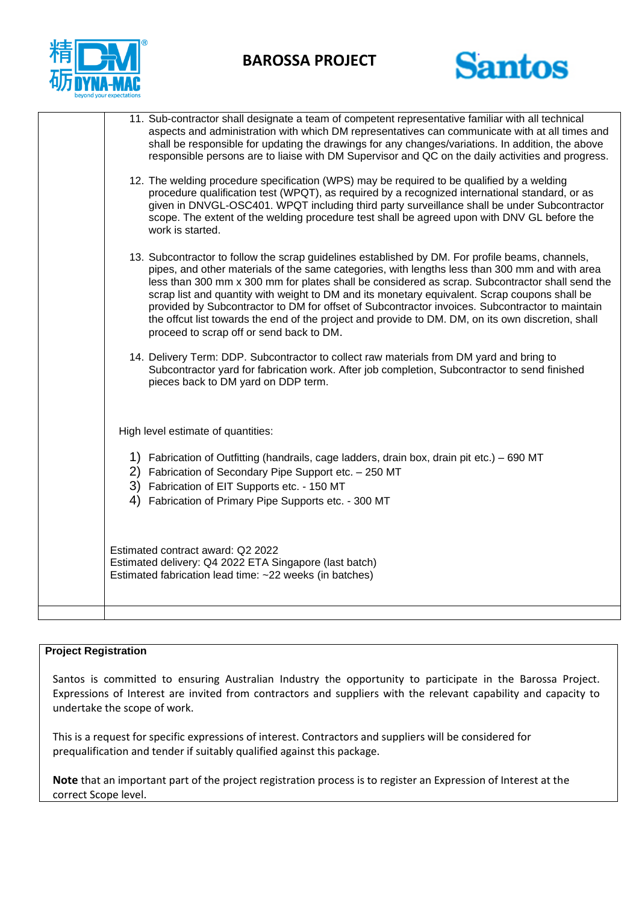

## **BAROSSA PROJECT**



| 11. Sub-contractor shall designate a team of competent representative familiar with all technical<br>aspects and administration with which DM representatives can communicate with at all times and<br>shall be responsible for updating the drawings for any changes/variations. In addition, the above<br>responsible persons are to liaise with DM Supervisor and QC on the daily activities and progress.                                                                                                                                                                                                                                               |
|-------------------------------------------------------------------------------------------------------------------------------------------------------------------------------------------------------------------------------------------------------------------------------------------------------------------------------------------------------------------------------------------------------------------------------------------------------------------------------------------------------------------------------------------------------------------------------------------------------------------------------------------------------------|
| 12. The welding procedure specification (WPS) may be required to be qualified by a welding<br>procedure qualification test (WPQT), as required by a recognized international standard, or as<br>given in DNVGL-OSC401. WPQT including third party surveillance shall be under Subcontractor<br>scope. The extent of the welding procedure test shall be agreed upon with DNV GL before the<br>work is started.                                                                                                                                                                                                                                              |
| 13. Subcontractor to follow the scrap guidelines established by DM. For profile beams, channels,<br>pipes, and other materials of the same categories, with lengths less than 300 mm and with area<br>less than 300 mm x 300 mm for plates shall be considered as scrap. Subcontractor shall send the<br>scrap list and quantity with weight to DM and its monetary equivalent. Scrap coupons shall be<br>provided by Subcontractor to DM for offset of Subcontractor invoices. Subcontractor to maintain<br>the offcut list towards the end of the project and provide to DM. DM, on its own discretion, shall<br>proceed to scrap off or send back to DM. |
| 14. Delivery Term: DDP. Subcontractor to collect raw materials from DM yard and bring to<br>Subcontractor yard for fabrication work. After job completion, Subcontractor to send finished<br>pieces back to DM yard on DDP term.                                                                                                                                                                                                                                                                                                                                                                                                                            |
| High level estimate of quantities:                                                                                                                                                                                                                                                                                                                                                                                                                                                                                                                                                                                                                          |
| 1) Fabrication of Outfitting (handrails, cage ladders, drain box, drain pit etc.) – 690 MT<br>2) Fabrication of Secondary Pipe Support etc. - 250 MT<br>3) Fabrication of EIT Supports etc. - 150 MT<br>Fabrication of Primary Pipe Supports etc. - 300 MT<br>4)                                                                                                                                                                                                                                                                                                                                                                                            |
| Estimated contract award: Q2 2022<br>Estimated delivery: Q4 2022 ETA Singapore (last batch)<br>Estimated fabrication lead time: ~22 weeks (in batches)                                                                                                                                                                                                                                                                                                                                                                                                                                                                                                      |
|                                                                                                                                                                                                                                                                                                                                                                                                                                                                                                                                                                                                                                                             |

## **Project Registration**

Santos is committed to ensuring Australian Industry the opportunity to participate in the Barossa Project. Expressions of Interest are invited from contractors and suppliers with the relevant capability and capacity to undertake the scope of work.

This is a request for specific expressions of interest. Contractors and suppliers will be considered for prequalification and tender if suitably qualified against this package.

**Note** that an important part of the project registration process is to register an Expression of Interest at the correct Scope level.